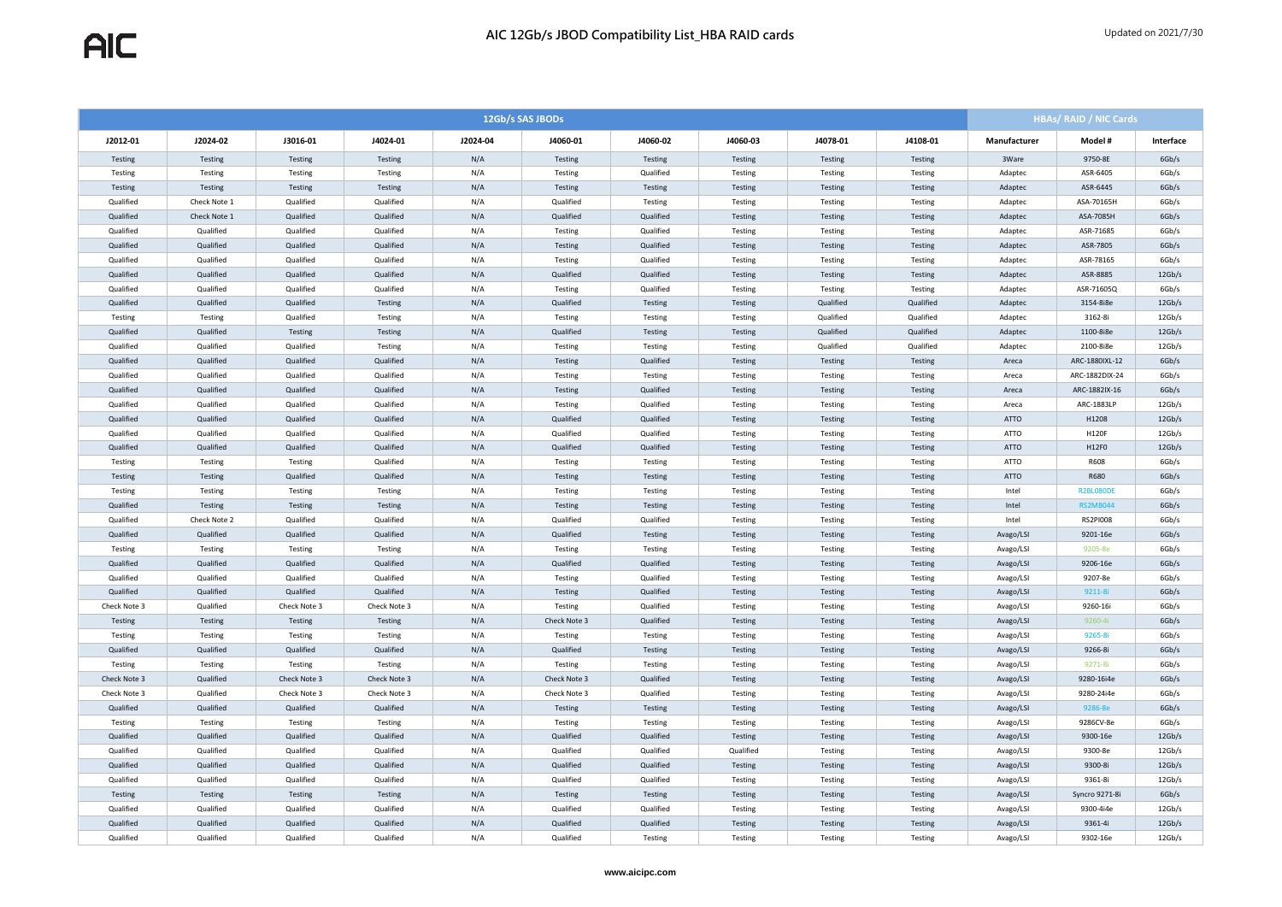| 12Gb/s SAS JBODs |              |              |              |          |              |           |           |           |           | <b>HBAs/ RAID / NIC Cards</b> |                  |           |
|------------------|--------------|--------------|--------------|----------|--------------|-----------|-----------|-----------|-----------|-------------------------------|------------------|-----------|
| J2012-01         | J2024-02     | J3016-01     | J4024-01     | J2024-04 | J4060-01     | J4060-02  | J4060-03  | J4078-01  | J4108-01  | Manufacturer                  | Model #          | Interface |
| Testing          | Testing      | Testing      | Testing      | N/A      | Testing      | Testing   | Testing   | Testing   | Testing   | 3Ware                         | 9750-8E          | 6Gb/s     |
| Testing          | Testing      | Testing      | Testing      | N/A      | Testing      | Qualified | Testing   | Testing   | Testing   | Adaptec                       | ASR-6405         | 6Gb/s     |
| Testing          | Testing      | Testing      | Testing      | N/A      | Testing      | Testing   | Testing   | Testing   | Testing   | Adaptec                       | ASR-6445         | 6Gb/s     |
| Qualified        | Check Note 1 | Qualified    | Qualified    | N/A      | Qualified    | Testing   | Testing   | Testing   | Testing   | Adaptec                       | ASA-70165H       | 6Gb/s     |
| Qualified        | Check Note 1 | Qualified    | Qualified    | N/A      | Qualified    | Qualified | Testing   | Testing   | Testing   | Adaptec                       | ASA-7085H        | 6Gb/s     |
| Qualified        | Qualified    | Qualified    | Qualified    | N/A      | Testing      | Qualified | Testing   | Testing   | Testing   | Adaptec                       | ASR-71685        | 6Gb/s     |
| Qualified        | Qualified    | Qualified    | Qualified    | N/A      | Testing      | Qualified | Testing   | Testing   | Testing   | Adaptec                       | ASR-7805         | 6Gb/s     |
| Qualified        | Qualified    | Qualified    | Qualified    | N/A      | Testing      | Qualified | Testing   | Testing   | Testing   | Adaptec                       | ASR-78165        | 6Gb/s     |
| Qualified        | Qualified    | Qualified    | Qualified    | N/A      | Qualified    | Qualified | Testing   | Testing   | Testing   | Adaptec                       | ASR-8885         | 12Gb/s    |
| Qualified        | Qualified    | Qualified    | Qualified    | N/A      | Testing      | Qualified | Testing   | Testing   | Testing   | Adaptec                       | ASR-71605Q       | 6Gb/s     |
| Qualified        | Qualified    | Qualified    | Testing      | N/A      | Qualified    | Testing   | Testing   | Qualified | Qualified | Adaptec                       | 3154-8i8e        | 12Gb/s    |
| Testing          | Testing      | Qualified    | Testing      | N/A      | Testing      | Testing   | Testing   | Qualified | Qualified | Adaptec                       | 3162-8i          | 12Gb/s    |
| Qualified        | Qualified    | Testing      | Testing      | N/A      | Qualified    | Testing   | Testing   | Qualified | Qualified | Adaptec                       | 1100-8i8e        | 12Gb/s    |
| Qualified        | Qualified    | Qualified    | Testing      | N/A      | Testing      | Testing   | Testing   | Qualified | Qualified | Adaptec                       | 2100-8i8e        | 12Gb/s    |
| Qualified        | Qualified    | Qualified    | Qualified    | N/A      | Testing      | Qualified | Testing   | Testing   | Testing   | Areca                         | ARC-1880IXL-12   | 6Gb/s     |
| Qualified        | Qualified    | Qualified    | Qualified    | N/A      | Testing      | Testing   | Testing   | Testing   | Testing   | Areca                         | ARC-1882DIX-24   | 6Gb/s     |
| Qualified        | Qualified    | Qualified    | Qualified    | N/A      | Testing      | Qualified | Testing   | Testing   | Testing   | Areca                         | ARC-1882IX-16    | 6Gb/s     |
| Qualified        | Qualified    | Qualified    | Qualified    | N/A      | Testing      | Qualified | Testing   | Testing   | Testing   | Areca                         | ARC-1883LP       | 12Gb/s    |
| Qualified        | Qualified    | Qualified    | Qualified    | N/A      | Qualified    | Qualified | Testing   | Testing   | Testing   | ATTO                          | H1208            | 12Gb/s    |
| Qualified        | Qualified    | Qualified    | Qualified    | N/A      | Qualified    | Qualified | Testing   | Testing   | Testing   | ATTO                          | H120F            | 12Gb/s    |
| Qualified        | Qualified    | Qualified    | Qualified    | N/A      | Qualified    | Qualified | Testing   | Testing   | Testing   | <b>ATTO</b>                   | H12F0            | 12Gb/s    |
| Testing          | Testing      | Testing      | Qualified    | N/A      | Testing      | Testing   | Testing   | Testing   | Testing   | ATTO                          | R608             | 6Gb/s     |
| Testing          | Testing      | Qualified    | Qualified    | N/A      | Testing      | Testing   | Testing   | Testing   | Testing   | ATTO                          | R680             | 6Gb/s     |
| Testing          | Testing      | Testing      | Testing      | N/A      | Testing      | Testing   | Testing   | Testing   | Testing   | Intel                         | <b>R2BL080DE</b> | 6Gb/s     |
| Qualified        | Testing      | Testing      | Testing      | N/A      | Testing      | Testing   | Testing   | Testing   | Testing   | Intel                         | <b>RS2MB044</b>  | 6Gb/s     |
| Qualified        | Check Note 2 | Qualified    | Qualified    | N/A      | Qualified    | Qualified | Testing   | Testing   | Testing   | Intel                         | <b>RS2PI008</b>  | 6Gb/s     |
| Qualified        | Qualified    | Qualified    | Qualified    | N/A      | Qualified    | Testing   | Testing   | Testing   | Testing   | Avago/LSI                     | 9201-16e         | 6Gb/s     |
| Testing          | Testing      | Testing      | Testing      | N/A      | Testing      | Testing   | Testing   | Testing   | Testing   | Avago/LSI                     | 9205-8e          | 6Gb/s     |
| Qualified        | Qualified    | Qualified    | Qualified    | N/A      | Qualified    | Qualified | Testing   | Testing   | Testing   | Avago/LSI                     | 9206-16e         | 6Gb/s     |
| Qualified        | Qualified    | Qualified    | Qualified    | N/A      | Testing      | Qualified | Testing   | Testing   | Testing   | Avago/LSI                     | 9207-8e          | 6Gb/s     |
| Qualified        | Qualified    | Qualified    | Qualified    | N/A      | Testing      | Qualified | Testing   | Testing   | Testing   | Avago/LSI                     | 9211-8i          | 6Gb/s     |
| Check Note 3     | Qualified    | Check Note 3 | Check Note 3 | N/A      | Testing      | Qualified | Testing   | Testing   | Testing   | Avago/LSI                     | 9260-16i         | 6Gb/s     |
| Testing          | Testing      | Testing      | Testing      | N/A      | Check Note 3 | Qualified | Testing   | Testing   | Testing   | Avago/LSI                     | 9260-4i          | 6Gb/s     |
| Testing          | Testing      | Testing      | Testing      | N/A      | Testing      | Testing   | Testing   | Testing   | Testing   | Avago/LSI                     | 9265-8i          | 6Gb/s     |
| Qualified        | Qualified    | Qualified    | Qualified    | N/A      | Qualified    | Testing   | Testing   | Testing   | Testing   | Avago/LSI                     | 9266-8i          | 6Gb/s     |
| Testing          | Testing      | Testing      | Testing      | N/A      | Testing      | Testing   | Testing   | Testing   | Testing   | Avago/LSI                     | 9271-8i          | 6Gb/s     |
| Check Note 3     | Qualified    | Check Note 3 | Check Note 3 | N/A      | Check Note 3 | Qualified | Testing   | Testing   | Testing   | Avago/LSI                     | 9280-16i4e       | 6Gb/s     |
| Check Note 3     | Qualified    | Check Note 3 | Check Note 3 | N/A      | Check Note 3 | Qualified | Testing   | Testing   | Testing   | Avago/LSI                     | 9280-24i4e       | 6Gb/s     |
| Qualified        | Qualified    | Qualified    | Qualified    | N/A      | Testing      | Testing   | Testing   | Testing   | Testing   | Avago/LSI                     | 9286-8e          | 6Gb/s     |
| Testing          | Testing      | Testing      | Testing      | N/A      | Testing      | Testing   | Testing   | Testing   | Testing   | Avago/LSI                     | 9286CV-8e        | 6Gb/s     |
| Qualified        | Qualified    | Qualified    | Qualified    | N/A      | Qualified    | Qualified | Testing   | Testing   | Testing   | Avago/LSI                     | 9300-16e         | 12Gb/s    |
| Qualified        | Qualified    | Qualified    | Qualified    | N/A      | Qualified    | Qualified | Qualified | Testing   | Testing   | Avago/LSI                     | 9300-8e          | 12Gb/s    |
| Qualified        | Qualified    | Qualified    | Qualified    | N/A      | Qualified    | Qualified | Testing   | Testing   | Testing   | Avago/LSI                     | 9300-8i          | 12Gb/s    |
| Qualified        | Qualified    | Qualified    | Qualified    | N/A      | Qualified    | Qualified | Testing   | Testing   | Testing   | Avago/LSI                     | 9361-8i          | 12Gb/s    |
| Testing          | Testing      | Testing      | Testing      | N/A      | Testing      | Testing   | Testing   | Testing   | Testing   | Avago/LSI                     | Syncro 9271-8i   | 6Gb/s     |
| Qualified        | Qualified    | Qualified    | Qualified    | N/A      | Qualified    | Qualified | Testing   | Testing   | Testing   | Avago/LSI                     | 9300-4i4e        | 12Gb/s    |
| Qualified        | Qualified    | Qualified    | Qualified    | N/A      | Qualified    | Qualified | Testing   | Testing   | Testing   | Avago/LSI                     | 9361-4i          | 12Gb/s    |
| Qualified        | Qualified    | Qualified    | Qualified    | N/A      | Qualified    | Testing   | Testing   | Testing   | Testing   | Avago/LSI                     | 9302-16e         | 12Gb/s    |